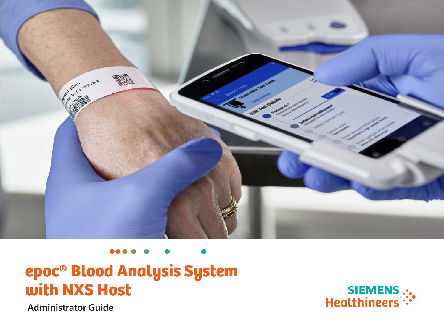

## epoc® Blood Analysis System with NXS Host



 **Administrator Guide**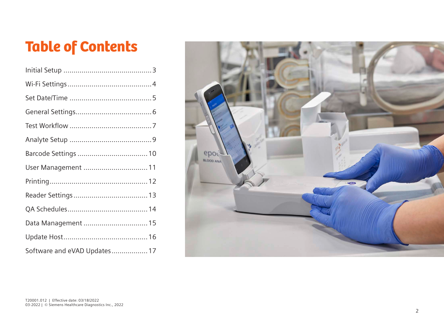# Table of Contents

| User Management  11          |  |
|------------------------------|--|
|                              |  |
|                              |  |
|                              |  |
| Data Management  15          |  |
|                              |  |
| Software and eVAD Updates 17 |  |

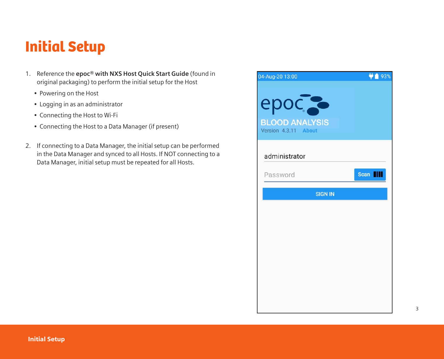#### Initial Setup

- 1. Reference the **epoc® with NXS Host Quick Start Guide** (found in original packaging) to perform the initial setup for the Host
	- Powering on the Host
	- Logging in as an administrator
	- Connecting the Host to Wi-Fi
	- Connecting the Host to a Data Manager (if present)
- 2. If connecting to a Data Manager, the initial setup can be performed in the Data Manager and synced to all Hosts. If NOT connecting to a Data Manager, initial setup must be repeated for all Hosts.

| 04-Aug-20 13:00                                                      | ♥■ 93%          |
|----------------------------------------------------------------------|-----------------|
| epoc <sub>c</sub> e<br><b>BLOOD ANALYSIS</b><br>Version 4.3.11 About |                 |
| administrator                                                        |                 |
| Password                                                             | Scan <b>III</b> |
| <b>SIGN IN</b>                                                       |                 |
|                                                                      |                 |
|                                                                      |                 |
|                                                                      |                 |
|                                                                      |                 |
|                                                                      |                 |
|                                                                      |                 |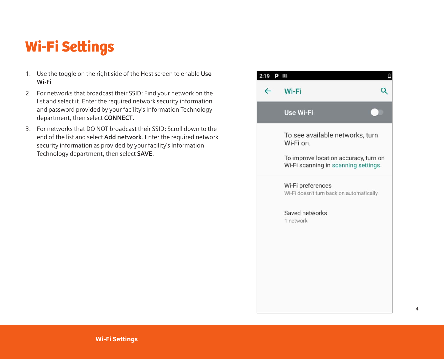## Wi-Fi Settings

- 1. Use the toggle on the right side of the Host screen to enable **Use Wi-Fi**
- 2. For networks that broadcast their SSID: Find your network on the list and select it. Enter the required network security information and password provided by your facility's Information Technology department, then select **CONNECT**.
- 3. For networks that DO NOT broadcast their SSID: Scroll down to the end of the list and select **Add network**. Enter the required network security information as provided by your facility's Information Technology department, then select **SAVE**.

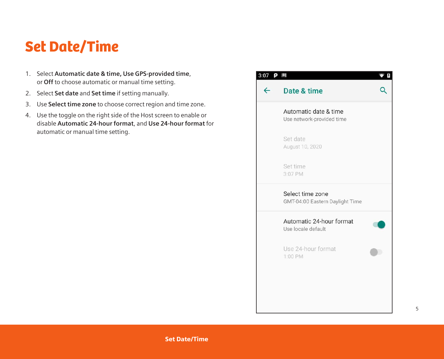#### Set Date/Time

- 1. Select **Automatic date & time, Use GPS-provided time**, or **Off** to choose automatic or manual time setting.
- 2. Select **Set date** and **Set time** if setting manually.
- 3. Use **Select time zone** to choose correct region and time zone.
- 4. Use the toggle on the right side of the Host screen to enable or disable **Automatic 24-hour format**, and **Use 24-hour format** for automatic or manual time setting.

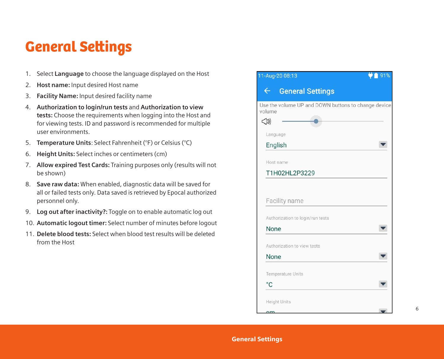### General Settings

- 1. Select **Language** to choose the language displayed on the Host
- 2. **Host name:** Input desired Host name
- 3. **Facility Name:** Input desired facility name
- 4. **Authorization to login/run tests** and **Authorization to view tests:** Choose the requirements when logging into the Host and for viewing tests. ID and password is recommended for multiple user environments.
- 5. **Temperature Units**: Select Fahrenheit (°F) or Celsius (°C)
- 6. **Height Units:** Select inches or centimeters (cm)
- 7. **Allow expired Test Cards:** Training purposes only (results will not be shown)
- 8. **Save raw data:** When enabled, diagnostic data will be saved for all or failed tests only. Data saved is retrieved by Epocal authorized personnel only.
- 9. **Log out after inactivity?:** Toggle on to enable automatic log out
- 10. **Automatic logout timer:** Select number of minutes before logout
- 11. **Delete blood tests:** Select when blood test results will be deleted from the Host

| 11-Aug-20 08:13                                                              | 91% |
|------------------------------------------------------------------------------|-----|
| $\leftarrow$<br><b>General Settings</b>                                      |     |
| Use the volume UP and DOWN buttons to change device<br>volume<br>$\triangle$ |     |
| Language                                                                     |     |
| English                                                                      |     |
| Host name                                                                    |     |
| T1H02HL2P3229                                                                |     |
|                                                                              |     |
| Facility name                                                                |     |
| Authorization to login/run tests                                             |     |
| None                                                                         |     |
| Authorization to view tests                                                  |     |
| None                                                                         |     |
| <b>Temperature Units</b>                                                     |     |
| $^{\circ}$ C                                                                 |     |
| <b>Height Units</b>                                                          |     |
| $\sim$ m                                                                     |     |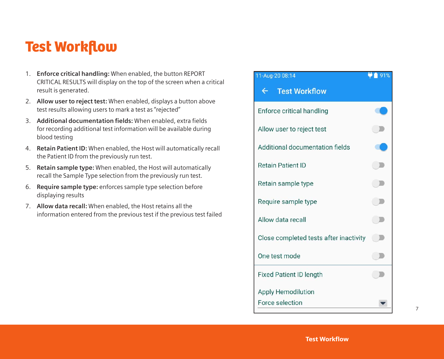#### Test Workflow

- 1. **Enforce critical handling:** When enabled, the button REPORT CRITICAL RESULTS will display on the top of the screen when a critical result is generated.
- 2. **Allow user to reject test:** When enabled, displays a button above test results allowing users to mark a test as "rejected"
- 3. **Additional documentation fields:** When enabled, extra fields for recording additional test information will be available during blood testing
- 4. **Retain Patient ID:** When enabled, the Host will automatically recall the Patient ID from the previously run test.
- 5. **Retain sample type:** When enabled, the Host will automatically recall the Sample Type selection from the previously run test.
- 6. **Require sample type:** enforces sample type selection before displaying results
- 7. **Allow data recall:** When enabled, the Host retains all the information entered from the previous test if the previous test failed

#### 11-Aug-20 08:14  $\bullet$  1 91% **Test Workflow**  $\leftarrow$ Enforce critical handling Allow user to reject test  $\mathbb{Z}$ Additional documentation fields  $\Box$ **Retain Patient ID** Retain sample type  $\Box$  $\Box$ Require sample type Allow data recall  $\Box$ Close completed tests after inactivity  $\blacksquare$ One test mode  $\Box$ **Fixed Patient ID length Apply Hemodilution** Force selection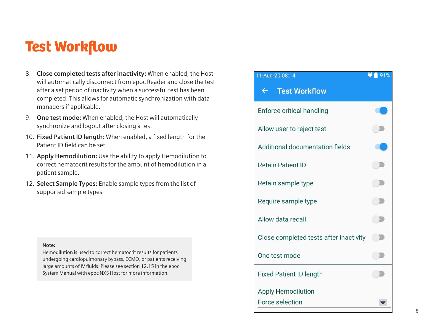#### Test Workflow

- 8. **Close completed tests after inactivity:** When enabled, the Host will automatically disconnect from epoc Reader and close the test after a set period of inactivity when a successful test has been completed. This allows for automatic synchronization with data managers if applicable.
- 9. **One test mode:** When enabled, the Host will automatically synchronize and logout after closing a test
- 10. **Fixed Patient ID length:** When enabled, a fixed length for the Patient ID field can be set
- 11. **Apply Hemodilution:** Use the ability to apply Hemodilution to correct hematocrit results for the amount of hemodilution in a patient sample.
- 12. **Select Sample Types:** Enable sample types from the list of supported sample types

#### **Note:**

Hemodilution is used to correct hematocrit results for patients undergoing cardiopulmonary bypass, ECMO, or patients receiving large amounts of IV fluids. Please see section 12.15 in the epoc System Manual with epoc NXS Host for more information.

| 11-Aug-20 08:14                              | 91% |
|----------------------------------------------|-----|
| $\leftarrow$<br><b>Test Workflow</b>         |     |
| Enforce critical handling                    |     |
| Allow user to reject test                    |     |
| Additional documentation fields              |     |
| <b>Retain Patient ID</b>                     |     |
| Retain sample type                           |     |
| Require sample type                          |     |
| Allow data recall                            |     |
| Close completed tests after inactivity       |     |
| One test mode                                |     |
| <b>Fixed Patient ID length</b>               |     |
| <b>Apply Hemodilution</b><br>Force selection |     |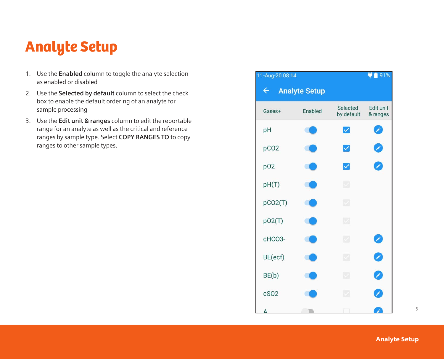### Analyte Setup

- 1. Use the **Enabled** column to toggle the analyte selection as enabled or disabled
- 2. Use the **Selected by default** column to select the check box to enable the default ordering of an analyte for sample processing
- 3. Use the **Edit unit & ranges** column to edit the reportable range for an analyte as well as the critical and reference ranges by sample type. Select **COPY RANGES TO** to copy ranges to other sample types.

| 11-Aug-20 08:14  |                      |                          | 91%                   |
|------------------|----------------------|--------------------------|-----------------------|
| $\leftarrow$     | <b>Analyte Setup</b> |                          |                       |
| Gases+           | Enabled              | Selected<br>by default   | Edit unit<br>& ranges |
| pH               |                      | $\blacktriangledown$     |                       |
| pCO <sub>2</sub> |                      | $\blacktriangledown$     | B                     |
| p02              |                      | $\blacktriangleright$    | Þ                     |
| pH(T)            |                      | $\overline{\mathcal{L}}$ |                       |
| pCO2(T)          |                      | Z                        |                       |
| pO2(T)           |                      | ☑                        |                       |
| cHCO3-           |                      | M                        | Ø                     |
| BE(ecf)          |                      | ☑                        | Ø                     |
| BE(b)            |                      | ☑                        | 2                     |
| cSO <sub>2</sub> |                      | ☑                        | Ì                     |
|                  |                      |                          |                       |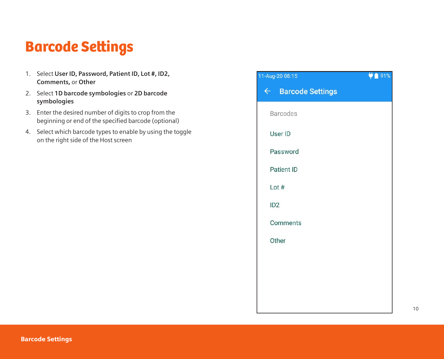### Barcode Settings

- 1. Select **User ID, Password, Patient ID, Lot #, ID2, Comments,** or **Other**
- 2. Select **1D barcode symbologies** or **2D barcode symbologies**
- 3. Enter the desired number of digits to crop from the beginning or end of the specified barcode (optional)
- 4. Select which barcode types to enable by using the toggle on the right side of the Host screen

| 1-Aug-20 08:15     | $\frac{1}{2}$ 91% |
|--------------------|-------------------|
| ← Barcode Settings |                   |
| <b>Barcodes</b>    |                   |
| User ID            |                   |
| Password           |                   |
| <b>Patient ID</b>  |                   |
| Lot $#$            |                   |
| ID <sub>2</sub>    |                   |
| Comments           |                   |
| Other              |                   |
|                    |                   |
|                    |                   |
|                    |                   |
|                    |                   |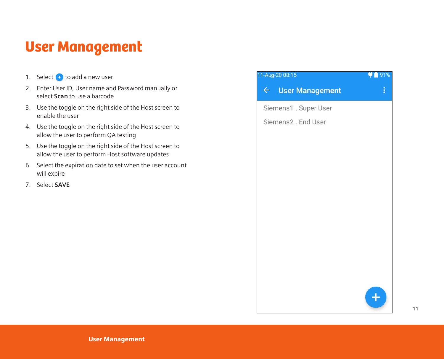### User Management

- 1. Select  $\leftarrow$  to add a new user
- 2. Enter User ID, User name and Password manually or select **Scan** to use a barcode
- 3. Use the toggle on the right side of the Host screen to enable the user
- 4. Use the toggle on the right side of the Host screen to allow the user to perform QA testing
- 5. Use the toggle on the right side of the Host screen to allow the user to perform Host software updates
- 6. Select the expiration date to set when the user account will expire
- 7. Select **SAVE**

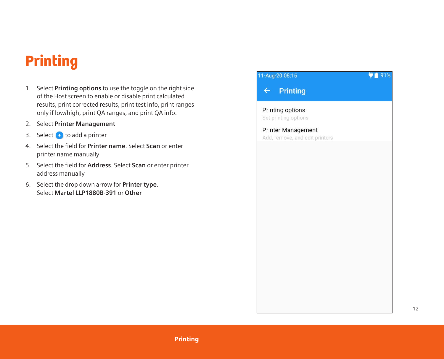## Printing

- 1. Select **Printing options** to use the toggle on the right side of the Host screen to enable or disable print calculated results, print corrected results, print test info, print ranges only if low/high, print QA ranges, and print QA info.
- 2. Select **Printer Management**
- 3. Select  $\bigoplus$  to add a printer
- 4. Select the field for **Printer name**. Select **Scan** or enter printer name manually
- 5. Select the field for **Address**. Select **Scan** or enter printer address manually
- 6. Select the drop down arrow for **Printer type**. Select **Martel LLP1880B-391** or **Other**

| 11-Aug-20 08:16                                      | 91% |
|------------------------------------------------------|-----|
| $\leftarrow$ Printing                                |     |
| Printing options<br>Set printing options             |     |
| Printer Management<br>Add, remove, and edit printers |     |
|                                                      |     |
|                                                      |     |
|                                                      |     |
|                                                      |     |
|                                                      |     |
|                                                      |     |
|                                                      |     |
|                                                      |     |
|                                                      |     |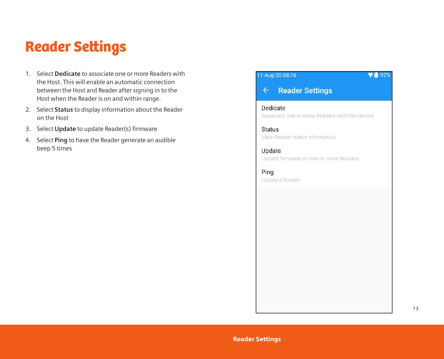#### Reader Settings

- 1. Select **Dedicate** to associate one or more Readers with the Host. This will enable an automatic connection between the Host and Reader after signing in to the Host when the Reader is on and within range.
- 2. Select **Status** to display information about the Reader on the Host
- 3. Select **Update** to update Reader(s) firmware
- 4. Select **Ping** to have the Reader generate an audible beep 5 times

#### 11-Aug-20 08:16

#### **Reader Settings**  $\leftarrow$

Dedicate Associate one or more Readers with this device

 $92%$ 

**Status** View Reader status information

Update Update firmware on one or more Readers

Ping Locate a Reader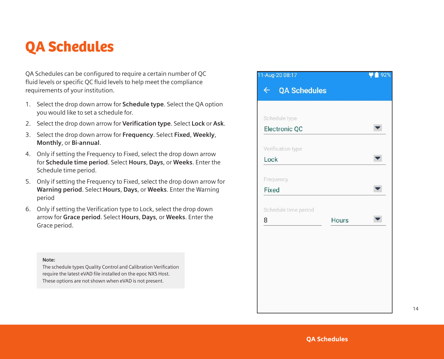#### QA Schedules

QA Schedules can be configured to require a certain number of QC fluid levels or specific QC fluid levels to help meet the compliance requirements of your institution.

- 1. Select the drop down arrow for **Schedule type**. Select the QA option you would like to set a schedule for.
- 2. Select the drop down arrow for **Verification type**. Select **Lock** or **Ask**.
- 3. Select the drop down arrow for **Frequency**. Select **Fixed**, **Weekly**, **Monthly**, or **Bi-annual**.
- 4. Only if setting the Frequency to Fixed, select the drop down arrow for **Schedule time period**. Select **Hours**, **Days**, or **Weeks**. Enter the Schedule time period.
- 5. Only if setting the Frequency to Fixed, select the drop down arrow for **Warning period**. Select **Hours**, **Days**, or **Weeks**. Enter the Warning period
- 6. Only if setting the Verification type to Lock, select the drop down arrow for **Grace period**. Select **Hours**, **Days**, or **Weeks**. Enter the Grace period.

#### **Note:**

The schedule types Quality Control and Calibration Verification require the latest eVAD file installed on the epoc NXS Host. These options are not shown when eVAD is not present.

| 11-Aug-20 08:17              |       | 92% |
|------------------------------|-------|-----|
| QA Schedules<br>$\leftarrow$ |       |     |
|                              |       |     |
| Schedule type                |       |     |
| Electronic QC                |       |     |
|                              |       |     |
| Verification type            |       |     |
| Lock                         |       |     |
|                              |       |     |
| Frequency                    |       |     |
| Fixed                        |       |     |
| Schedule time period         |       |     |
| 8                            | Hours |     |
|                              |       |     |
|                              |       |     |
|                              |       |     |
|                              |       |     |
|                              |       |     |
|                              |       |     |
|                              |       |     |
|                              |       |     |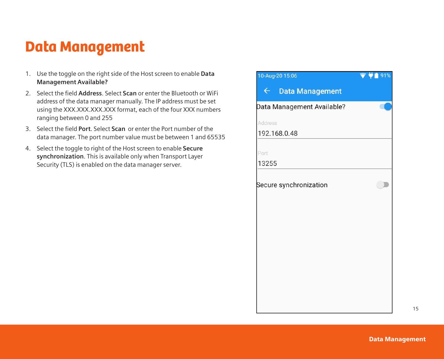### Data Management

- 1. Use the toggle on the right side of the Host screen to enable **Data Management Available?**
- 2. Select the field **Address**. Select **Scan** or enter the Bluetooth or WiFi address of the data manager manually. The IP address must be set using the XXX.XXX.XXX.XXX format, each of the four XXX numbers ranging between 0 and 255
- 3. Select the field **Port**. Select **Scan** or enter the Port number of the data manager. The port number value must be between 1 and 65535
- 4. Select the toggle to right of the Host screen to enable **Secure synchronization**. This is available only when Transport Layer Security (TLS) is enabled on the data manager server.

| 10-Aug-20 15:06            | 91% |
|----------------------------|-----|
| ← Data Management          |     |
| Data Management Available? |     |
| Address                    |     |
| 192.168.0.48               |     |
| Port                       |     |
| 13255                      |     |
| Secure synchronization     |     |
|                            |     |
|                            |     |
|                            |     |
|                            |     |
|                            |     |
|                            |     |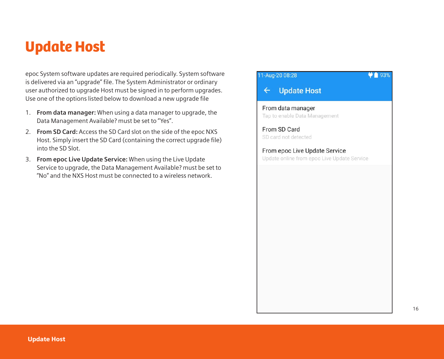### Update Host

epoc System software updates are required periodically. System software is delivered via an "upgrade" file. The System Administrator or ordinary user authorized to upgrade Host must be signed in to perform upgrades. Use one of the options listed below to download a new upgrade file

- 1. **From data manager:** When using a data manager to upgrade, the Data Management Available? must be set to "Yes".
- 2. **From SD Card:** Access the SD Card slot on the side of the epoc NXS Host. Simply insert the SD Card (containing the correct upgrade file) into the SD Slot.
- 3. **From epoc Live Update Service:** When using the Live Update Service to upgrade, the Data Management Available? must be set to "No" and the NXS Host must be connected to a wireless network.

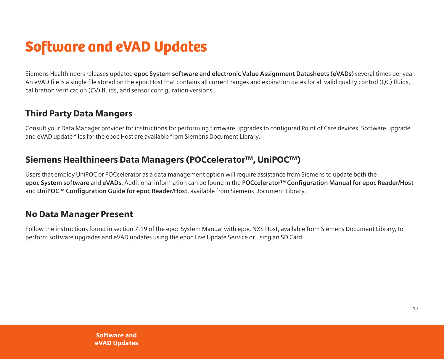## Software and eVAD Updates

Siemens Healthineers releases updated **epoc System software and electronic Value Assignment Datasheets (eVADs)** several times per year. An eVAD file is a single file stored on the epoc Host that contains all current ranges and expiration dates for all valid quality control (QC) fluids, calibration verification (CV) fluids, and sensor configuration versions.

#### Third Party Data Mangers

Consult your Data Manager provider for instructions for performing firmware upgrades to configured Point of Care devices. Software upgrade and eVAD update files for the epoc Host are available from Siemens Document Library.

#### Siemens Healthineers Data Managers (POCcelerator™, UniPOC™)

Users that employ UniPOC or POCcelerator as a data management option will require assistance from Siemens to update both the **epoc System software** and **eVADs**. Additional information can be found in the **POCcelerator™ Configuration Manual for epoc Reader/Host** and **UniPOC™ Configuration Guide for epoc Reader/Host**, available from Siemens Document Library.

#### No Data Manager Present

Follow the instructions found in section 7.19 of the epoc System Manual with epoc NXS Host, available from Siemens Document Library, to perform software upgrades and eVAD updates using the epoc Live Update Service or using an SD Card.